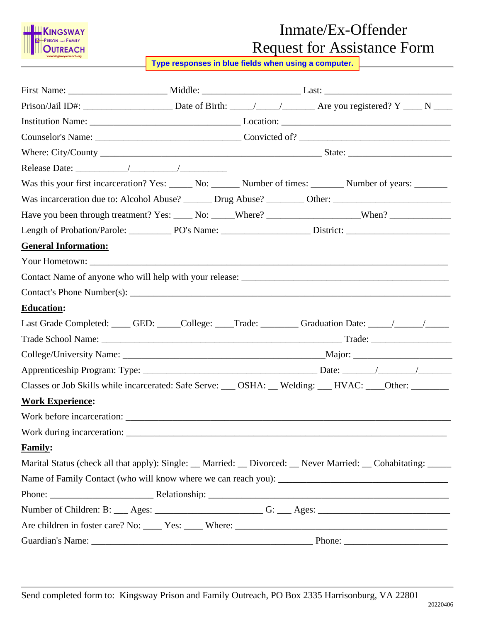

## Inmate/Ex-Offender Request for Assistance Form

**Type responses in blue fields when using a computer.**

| Was this your first incarceration? Yes: ______ No: ________ Number of times: ________ Number of years: _______ |  |  |
|----------------------------------------------------------------------------------------------------------------|--|--|
| Was incarceration due to: Alcohol Abuse? _______ Drug Abuse? ________ Other: _________________________________ |  |  |
|                                                                                                                |  |  |
| Length of Probation/Parole: PO's Name: District: District:                                                     |  |  |
| <b>General Information:</b>                                                                                    |  |  |
|                                                                                                                |  |  |
|                                                                                                                |  |  |
|                                                                                                                |  |  |
| <b>Education:</b>                                                                                              |  |  |
|                                                                                                                |  |  |
|                                                                                                                |  |  |
|                                                                                                                |  |  |
|                                                                                                                |  |  |
| Classes or Job Skills while incarcerated: Safe Serve: ___ OSHA: __ Welding: ___ HVAC: ___Other: ____           |  |  |
| <b>Work Experience:</b>                                                                                        |  |  |
|                                                                                                                |  |  |
|                                                                                                                |  |  |
| <b>Family:</b>                                                                                                 |  |  |
| Marital Status (check all that apply): Single: _ Married: _ Divorced: _ Never Married: _ Cohabitating: ___     |  |  |
|                                                                                                                |  |  |
|                                                                                                                |  |  |
|                                                                                                                |  |  |
|                                                                                                                |  |  |
|                                                                                                                |  |  |